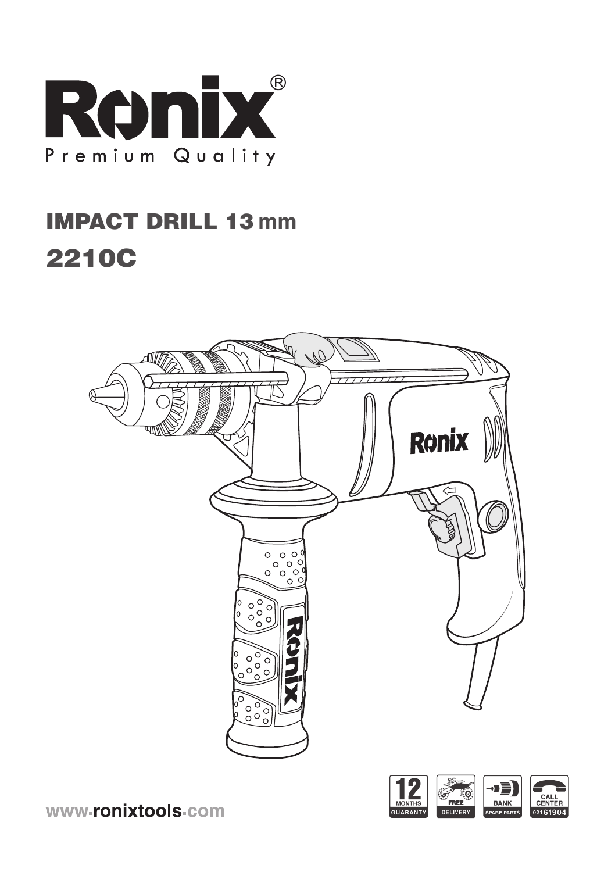

## IMPACT DRILL 13 **mm** 2210C





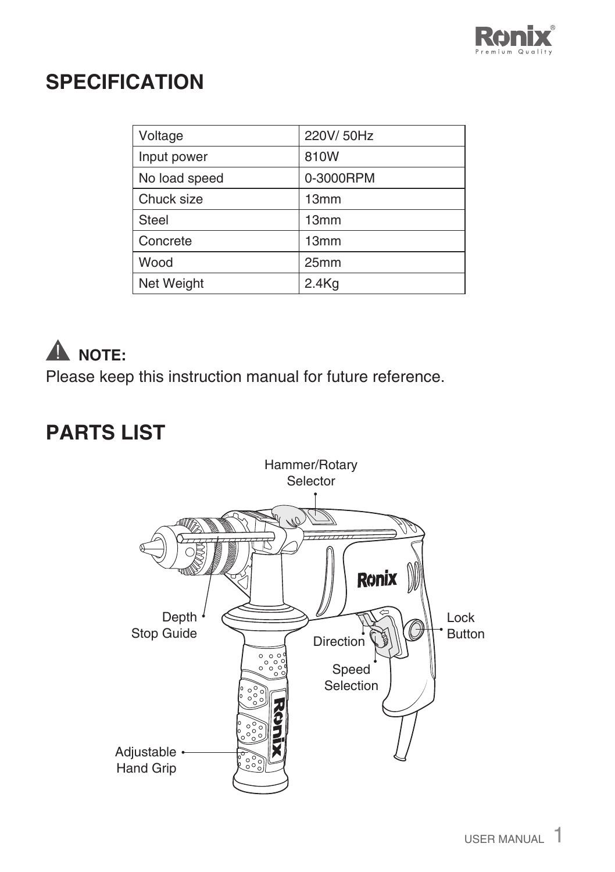

### **SPECIFICATION**

| Voltage       | 220V/50Hz |
|---------------|-----------|
| Input power   | 810W      |
| No load speed | 0-3000RPM |
| Chuck size    | 13mm      |
| Steel         | 13mm      |
| Concrete      | 13mm      |
| Wood          | 25mm      |
| Net Weight    | 2.4Kg     |

### **NOTE:**

Please keep this instruction manual for future reference.

### **PARTS LIST**

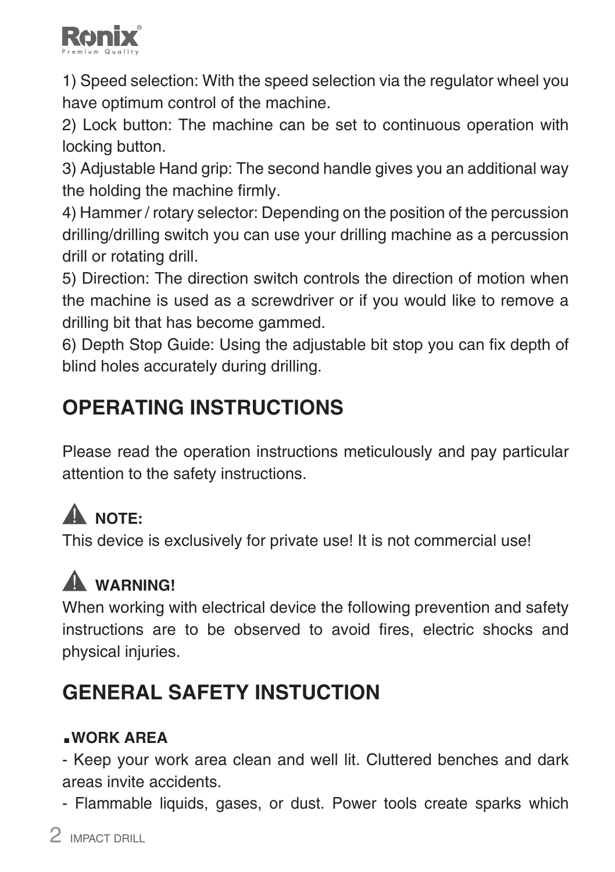

1) Speed selection: With the speed selection via the regulator wheel you have optimum control of the machine.

2) Lock button: The machine can be set to continuous operation with locking button.

3) Adjustable Hand grip: The second handle gives you an additional way the holding the machine firmly.

4) Hammer / rotary selector: Depending on the position of the percussion drilling/drilling switch you can use your drilling machine as a percussion drill or rotating drill.

5) Direction: The direction switch controls the direction of motion when the machine is used as a screwdriver or if you would like to remove a drilling bit that has become gammed.

6) Depth Stop Guide: Using the adjustable bit stop you can fix depth of blind holes accurately during drilling.

### **OPERATING INSTRUCTIONS**

Please read the operation instructions meticulously and pay particular attention to the safety instructions.

## **A** NOTE:

This device is exclusively for private use! It is not commercial use!

# **A** WARNING!

When working with electrical device the following prevention and safety instructions are to be observed to avoid fires, electric shocks and physical injuries.

### **GENERAL SAFETY INSTUCTION**

#### **.WORK AREA**

- Keep your work area clean and well lit. Cluttered benches and dark areas invite accidents.

- Flammable liquids, gases, or dust. Power tools create sparks which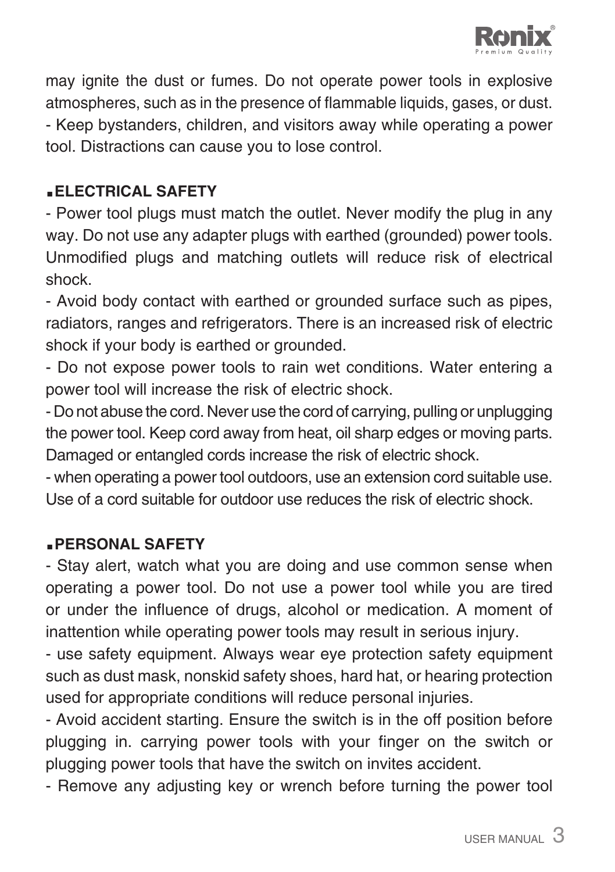

may ignite the dust or fumes. Do not operate power tools in explosive atmospheres, such as in the presence of flammable liquids, gases, or dust. - Keep bystanders, children, and visitors away while operating a power tool. Distractions can cause you to lose control.

#### **.ELECTRICAL SAFETY**

- Power tool plugs must match the outlet. Never modify the plug in any way. Do not use any adapter plugs with earthed (grounded) power tools. Unmodified plugs and matching outlets will reduce risk of electrical shock.

- Avoid body contact with earthed or grounded surface such as pipes, radiators, ranges and refrigerators. There is an increased risk of electric shock if your body is earthed or grounded.

- Do not expose power tools to rain wet conditions. Water entering a power tool will increase the risk of electric shock.

- Do not abuse the cord. Never use the cord of carrying, pulling or unplugging the power tool. Keep cord away from heat, oil sharp edges or moving parts. Damaged or entangled cords increase the risk of electric shock.

- when operating a power tool outdoors, use an extension cord suitable use. Use of a cord suitable for outdoor use reduces the risk of electric shock.

#### **.PERSONAL SAFETY**

- Stay alert, watch what you are doing and use common sense when operating a power tool. Do not use a power tool while you are tired or under the influence of drugs, alcohol or medication. A moment of inattention while operating power tools may result in serious injury.

- use safety equipment. Always wear eye protection safety equipment such as dust mask, nonskid safety shoes, hard hat, or hearing protection used for appropriate conditions will reduce personal injuries.

- Avoid accident starting. Ensure the switch is in the off position before plugging in. carrying power tools with your finger on the switch or plugging power tools that have the switch on invites accident.

- Remove any adjusting key or wrench before turning the power tool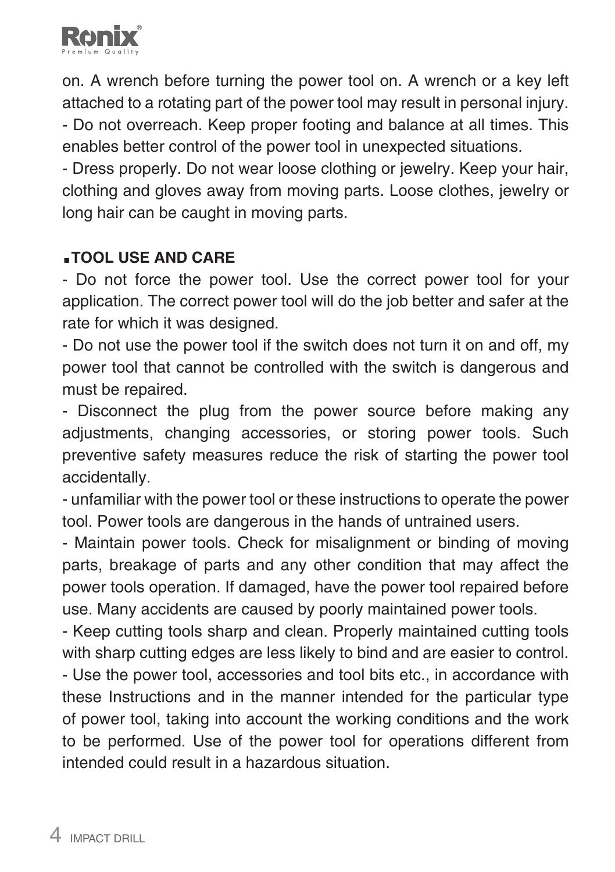

on. A wrench before turning the power tool on. A wrench or a key left attached to a rotating part of the power tool may result in personal injury. - Do not overreach. Keep proper footing and balance at all times. This enables better control of the power tool in unexpected situations.

- Dress properly. Do not wear loose clothing or jewelry. Keep your hair, clothing and gloves away from moving parts. Loose clothes, jewelry or long hair can be caught in moving parts.

#### **.TOOL USE AND CARE**

- Do not force the power tool. Use the correct power tool for your application. The correct power tool will do the job better and safer at the rate for which it was designed.

- Do not use the power tool if the switch does not turn it on and off, my power tool that cannot be controlled with the switch is dangerous and must be repaired.

- Disconnect the plug from the power source before making any adjustments, changing accessories, or storing power tools. Such preventive safety measures reduce the risk of starting the power tool accidentally.

- unfamiliar with the power tool or these instructions to operate the power tool. Power tools are dangerous in the hands of untrained users.

- Maintain power tools. Check for misalignment or binding of moving parts, breakage of parts and any other condition that may affect the power tools operation. If damaged, have the power tool repaired before use. Many accidents are caused by poorly maintained power tools.

- Keep cutting tools sharp and clean. Properly maintained cutting tools with sharp cutting edges are less likely to bind and are easier to control. - Use the power tool, accessories and tool bits etc., in accordance with these Instructions and in the manner intended for the particular type of power tool, taking into account the working conditions and the work to be performed. Use of the power tool for operations different from intended could result in a hazardous situation.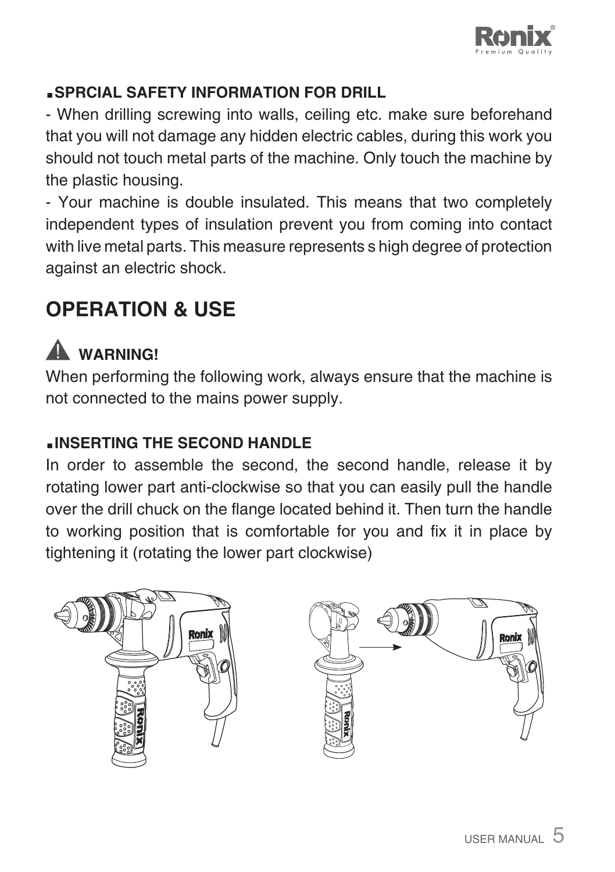

#### **.SPRCIAL SAFETY INFORMATION FOR DRILL**

- When drilling screwing into walls, ceiling etc. make sure beforehand that you will not damage any hidden electric cables, during this work you should not touch metal parts of the machine. Only touch the machine by the plastic housing.

- Your machine is double insulated. This means that two completely independent types of insulation prevent you from coming into contact with live metal parts. This measure represents s high degree of protection against an electric shock.

### **OPERATION & USE**

### A WARNING!

When performing the following work, always ensure that the machine is not connected to the mains power supply.

#### **.INSERTING THE SECOND HANDLE**

In order to assemble the second, the second handle, release it by rotating lower part anti-clockwise so that you can easily pull the handle over the drill chuck on the flange located behind it. Then turn the handle to working position that is comfortable for you and fix it in place by tightening it (rotating the lower part clockwise)

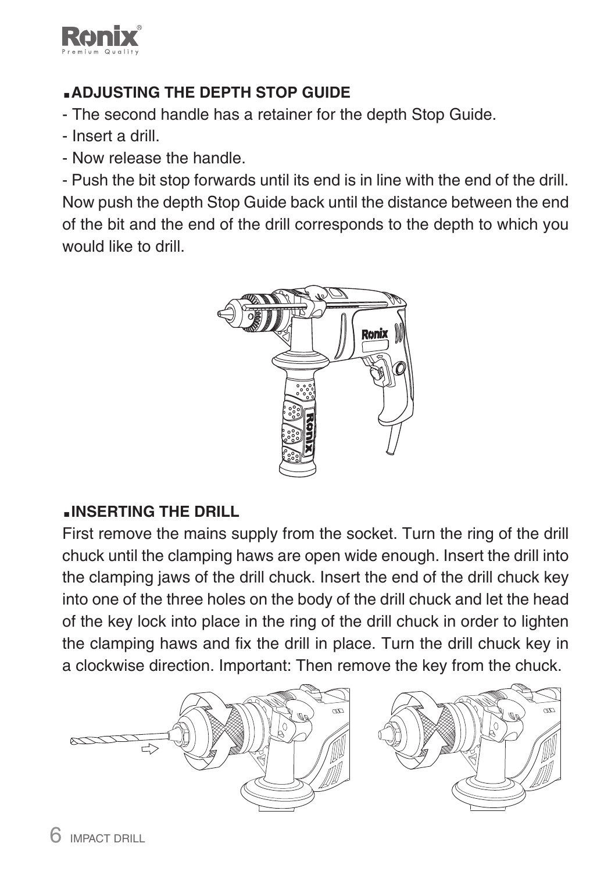

#### **.ADJUSTING THE DEPTH STOP GUIDE**

- The second handle has a retainer for the depth Stop Guide.
- Insert a drill.
- Now release the handle.

- Push the bit stop forwards until its end is in line with the end of the drill. Now push the depth Stop Guide back until the distance between the end of the bit and the end of the drill corresponds to the depth to which you would like to drill.



#### **.INSERTING THE DRILL**

First remove the mains supply from the socket. Turn the ring of the drill chuck until the clamping haws are open wide enough. Insert the drill into the clamping jaws of the drill chuck. Insert the end of the drill chuck key into one of the three holes on the body of the drill chuck and let the head of the key lock into place in the ring of the drill chuck in order to lighten the clamping haws and fix the drill in place. Turn the drill chuck key in a clockwise direction. Important: Then remove the key from the chuck.



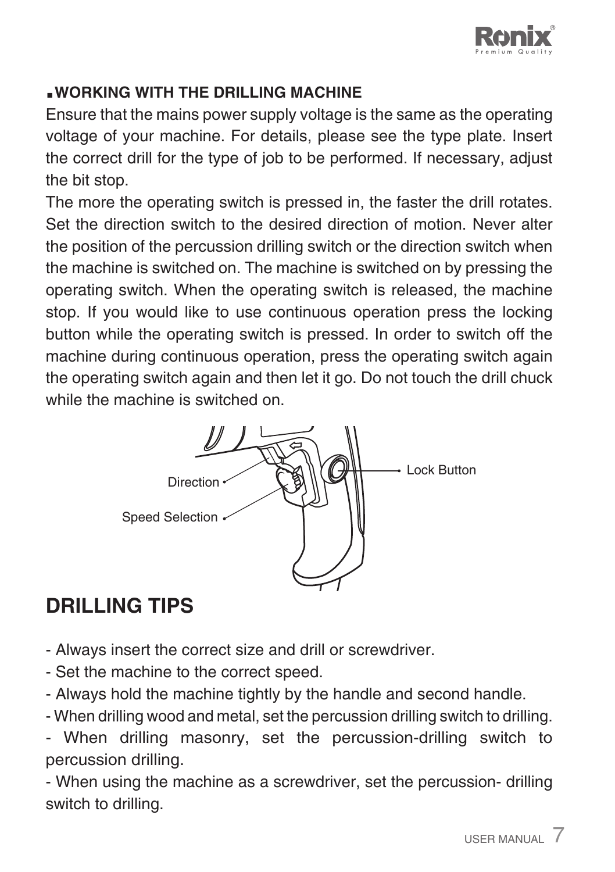

#### **.WORKING WITH THE DRILLING MACHINE**

Ensure that the mains power supply voltage is the same as the operating voltage of your machine. For details, please see the type plate. Insert the correct drill for the type of job to be performed. If necessary, adjust the bit stop.

The more the operating switch is pressed in, the faster the drill rotates. Set the direction switch to the desired direction of motion. Never alter the position of the percussion drilling switch or the direction switch when the machine is switched on. The machine is switched on by pressing the operating switch. When the operating switch is released, the machine stop. If you would like to use continuous operation press the locking button while the operating switch is pressed. In order to switch off the machine during continuous operation, press the operating switch again the operating switch again and then let it go. Do not touch the drill chuck while the machine is switched on.



### **DRILLING TIPS**

- Always insert the correct size and drill or screwdriver.
- Set the machine to the correct speed.
- Always hold the machine tightly by the handle and second handle.
- When drilling wood and metal, set the percussion drilling switch to drilling.

- When drilling masonry, set the percussion-drilling switch to percussion drilling.

- When using the machine as a screwdriver, set the percussion- drilling switch to drilling.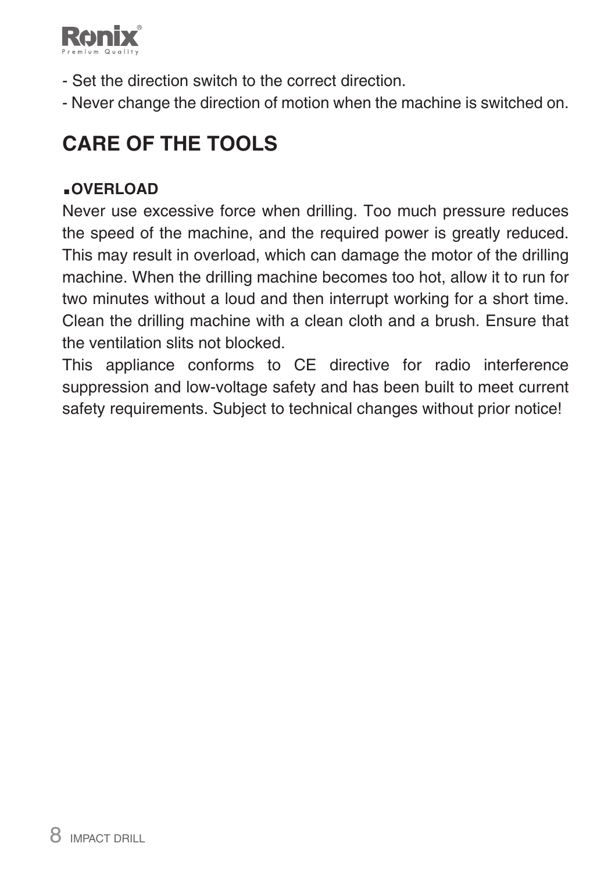

- Set the direction switch to the correct direction.
- Never change the direction of motion when the machine is switched on.

### **CARE OF THE TOOLS**

#### **.OVERLOAD**

Never use excessive force when drilling. Too much pressure reduces the speed of the machine, and the required power is greatly reduced. This may result in overload, which can damage the motor of the drilling machine. When the drilling machine becomes too hot, allow it to run for two minutes without a loud and then interrupt working for a short time. Clean the drilling machine with a clean cloth and a brush. Ensure that the ventilation slits not blocked.

This appliance conforms to CE directive for radio interference suppression and low-voltage safety and has been built to meet current safety requirements. Subject to technical changes without prior notice!